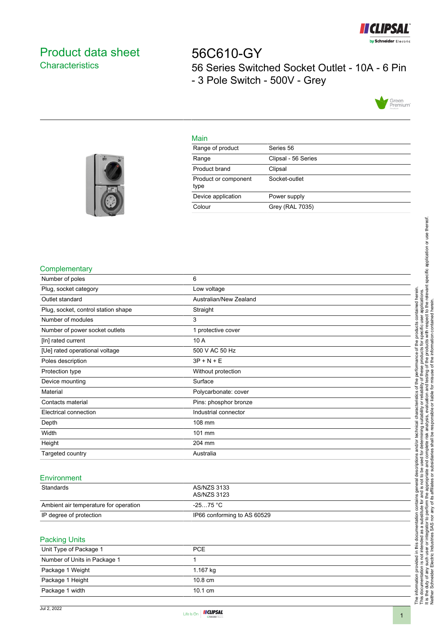

# <span id="page-0-0"></span>Product data sheet **Characteristics**

56C610-GY 56 Series Switched Socket Outlet - 10A - 6 Pin - 3 Pole Switch - 500V - Grey



## Main

| Range of product             | Series 56           |
|------------------------------|---------------------|
| Range                        | Clipsal - 56 Series |
| Product brand                | Clipsal             |
| Product or component<br>type | Socket-outlet       |
| Device application           | Power supply        |
| Colour                       | Grey (RAL 7035)     |
|                              |                     |



### **Complementary**

| Number of poles                     | 6                      |
|-------------------------------------|------------------------|
| Plug, socket category               | Low voltage            |
| Outlet standard                     | Australian/New Zealand |
| Plug, socket, control station shape | Straight               |
| Number of modules                   | 3                      |
| Number of power socket outlets      | 1 protective cover     |
| [In] rated current                  | 10 A                   |
| [Ue] rated operational voltage      | 500 V AC 50 Hz         |
| Poles description                   | $3P + N + E$           |
| Protection type                     | Without protection     |
| Device mounting                     | Surface                |
| Material                            | Polycarbonate: cover   |
| Contacts material                   | Pins: phosphor bronze  |
| Electrical connection               | Industrial connector   |
| Depth                               | 108 mm                 |
| Width                               | 101 mm                 |
| Height                              | 204 mm                 |
| Targeted country                    | Australia              |

## Environment

| Standards                             | AS/NZS 3133<br>AS/NZS 3123  |
|---------------------------------------|-----------------------------|
| Ambient air temperature for operation | -25…75 °C                   |
| IP degree of protection               | IP66 conforming to AS 60529 |

#### Packing Units

| Unit Type of Package 1       | <b>PCE</b>        |
|------------------------------|-------------------|
| Number of Units in Package 1 |                   |
| Package 1 Weight             | 1.167 kg          |
| Package 1 Height             | $10.8 \text{ cm}$ |
| Package 1 width              | $10.1 \text{ cm}$ |